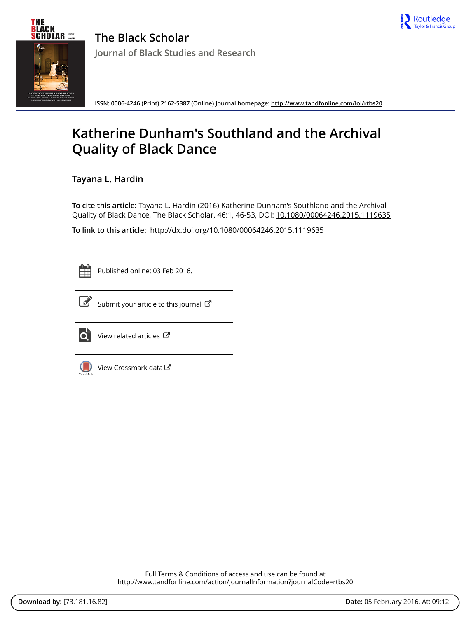



**The Black Scholar Journal of Black Studies and Research**

**ISSN: 0006-4246 (Print) 2162-5387 (Online) Journal homepage:<http://www.tandfonline.com/loi/rtbs20>**

## **Katherine Dunham's Southland and the Archival Quality of Black Dance**

**Tayana L. Hardin**

**To cite this article:** Tayana L. Hardin (2016) Katherine Dunham's Southland and the Archival Quality of Black Dance, The Black Scholar, 46:1, 46-53, DOI: [10.1080/00064246.2015.1119635](http://www.tandfonline.com/action/showCitFormats?doi=10.1080/00064246.2015.1119635)

**To link to this article:** <http://dx.doi.org/10.1080/00064246.2015.1119635>



Published online: 03 Feb 2016.



 $\overrightarrow{S}$  [Submit your article to this journal](http://www.tandfonline.com/action/authorSubmission?journalCode=rtbs20&page=instructions)  $\overrightarrow{S}$ 



 $\overrightarrow{Q}$  [View related articles](http://www.tandfonline.com/doi/mlt/10.1080/00064246.2015.1119635)  $\overrightarrow{C}$ 



[View Crossmark data](http://crossmark.crossref.org/dialog/?doi=10.1080/00064246.2015.1119635&domain=pdf&date_stamp=2016-02-03)

Full Terms & Conditions of access and use can be found at <http://www.tandfonline.com/action/journalInformation?journalCode=rtbs20>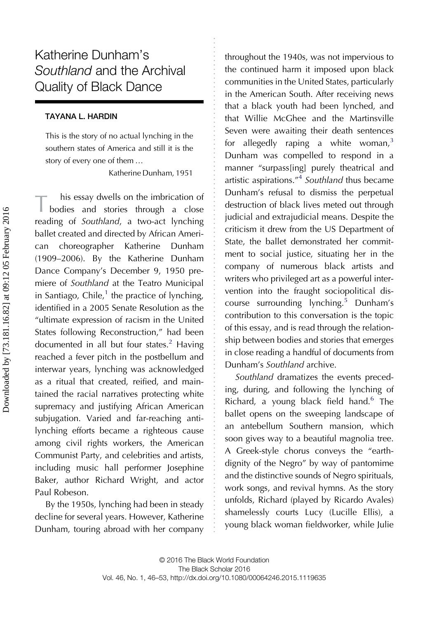## Katherine Dunham's Southland and the Archival Quality of Black Dance

## TAYANA L. HARDIN

This is the story of no actual lynching in the southern states of America and still it is the story of every one of them …

Katherine Dunham, 1951

T his essay dwells on the imbrication of<br>bodies and stories through a close reading of Southland, a two-act lynching ballet created and directed by African American choreographer Katherine Dunham (1909–2006). By the Katherine Dunham Dance Company's December 9, 1950 premiere of Southland at the Teatro Municipal in Santiago, Chile,<sup>[1](#page-6-0)</sup> the practice of lynching, identified in a 2005 Senate Resolution as the "ultimate expression of racism in the United States following Reconstruction," had been documented in all but four states.<sup>[2](#page-7-0)</sup> Having reached a fever pitch in the postbellum and interwar years, lynching was acknowledged as a ritual that created, reified, and maintained the racial narratives protecting white supremacy and justifying African American subjugation. Varied and far-reaching antilynching efforts became a righteous cause among civil rights workers, the American Communist Party, and celebrities and artists, including music hall performer Josephine Baker, author Richard Wright, and actor Paul Robeson.

By the 1950s, lynching had been in steady decline for several years. However, Katherine Dunham, touring abroad with her company throughout the 1940s, was not impervious to the continued harm it imposed upon black communities in the United States, particularly in the American South. After receiving news that a black youth had been lynched, and that Willie McGhee and the Martinsville Seven were awaiting their death sentences for allegedly raping a white woman, $3$ Dunham was compelled to respond in a manner "surpass[ing] purely theatrical and artistic aspirations."<sup>[4](#page-7-0)</sup> Southland thus became Dunham's refusal to dismiss the perpetual destruction of black lives meted out through judicial and extrajudicial means. Despite the criticism it drew from the US Department of State, the ballet demonstrated her commitment to social justice, situating her in the company of numerous black artists and writers who privileged art as a powerful intervention into the fraught sociopolitical discourse surrounding lynching.[5](#page-7-0) Dunham's contribution to this conversation is the topic of this essay, and is read through the relationship between bodies and stories that emerges in close reading a handful of documents from Dunham's Southland archive.

Southland dramatizes the events preceding, during, and following the lynching of Richard, a young black field hand.<sup>[6](#page-7-0)</sup> The ballet opens on the sweeping landscape of an antebellum Southern mansion, which soon gives way to a beautiful magnolia tree. A Greek-style chorus conveys the "earthdignity of the Negro" by way of pantomime and the distinctive sounds of Negro spirituals, work songs, and revival hymns. As the story unfolds, Richard (played by Ricardo Avales) shamelessly courts Lucy (Lucille Ellis), a young black woman fieldworker, while Julie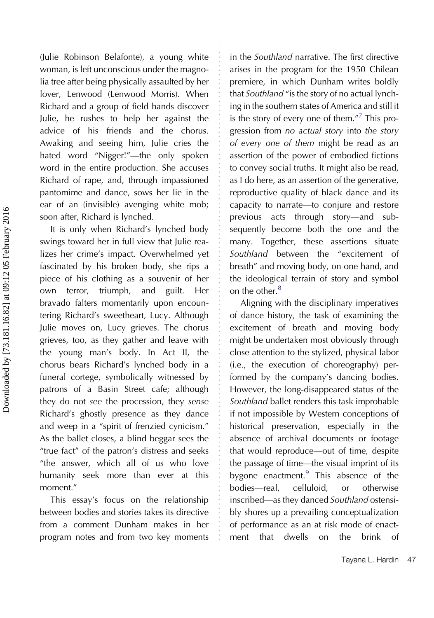(Julie Robinson Belafonte), a young white woman, is left unconscious under the magnolia tree after being physically assaulted by her lover, Lenwood (Lenwood Morris). When Richard and a group of field hands discover Julie, he rushes to help her against the advice of his friends and the chorus. Awaking and seeing him, Julie cries the hated word "Nigger!"—the only spoken word in the entire production. She accuses Richard of rape, and, through impassioned pantomime and dance, sows her lie in the ear of an (invisible) avenging white mob; soon after, Richard is lynched.

It is only when Richard's lynched body swings toward her in full view that Julie realizes her crime's impact. Overwhelmed yet fascinated by his broken body, she rips a piece of his clothing as a souvenir of her own terror, triumph, and guilt. Her bravado falters momentarily upon encountering Richard's sweetheart, Lucy. Although Julie moves on, Lucy grieves. The chorus grieves, too, as they gather and leave with the young man's body. In Act II, the chorus bears Richard's lynched body in a funeral cortege, symbolically witnessed by patrons of a Basin Street cafe; although they do not see the procession, they sense Richard's ghostly presence as they dance and weep in a "spirit of frenzied cynicism." As the ballet closes, a blind beggar sees the "true fact" of the patron's distress and seeks "the answer, which all of us who love humanity seek more than ever at this moment."

This essay's focus on the relationship between bodies and stories takes its directive from a comment Dunham makes in her program notes and from two key moments

in the Southland narrative. The first directive arises in the program for the 1950 Chilean premiere, in which Dunham writes boldly that Southland "is the story of no actual lynching in the southern states of America and still it is the story of every one of them."<sup>[7](#page-7-0)</sup> This progression from no actual story into the story of every one of them might be read as an assertion of the power of embodied fictions to convey social truths. It might also be read, as I do here, as an assertion of the generative, reproductive quality of black dance and its capacity to narrate—to conjure and restore previous acts through story—and subsequently become both the one and the many. Together, these assertions situate Southland between the "excitement of breath" and moving body, on one hand, and the ideological terrain of story and symbol on the other.<sup>[8](#page-7-0)</sup>

Aligning with the disciplinary imperatives of dance history, the task of examining the excitement of breath and moving body might be undertaken most obviously through close attention to the stylized, physical labor (i.e., the execution of choreography) performed by the company's dancing bodies. However, the long-disappeared status of the Southland ballet renders this task improbable if not impossible by Western conceptions of historical preservation, especially in the absence of archival documents or footage that would reproduce—out of time, despite the passage of time—the visual imprint of its bygone enactment. $9$  This absence of the bodies—real, celluloid, or otherwise inscribed—as they danced Southland ostensibly shores up a prevailing conceptualization of performance as an at risk mode of enactment that dwells on the brink of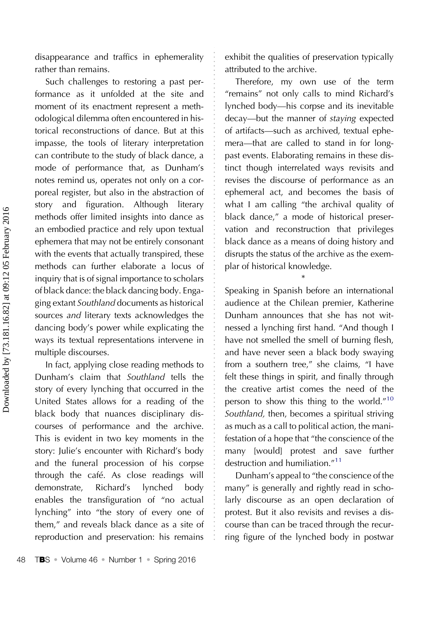disappearance and traffics in ephemerality rather than remains.

Such challenges to restoring a past performance as it unfolded at the site and moment of its enactment represent a methodological dilemma often encountered in historical reconstructions of dance. But at this impasse, the tools of literary interpretation can contribute to the study of black dance, a mode of performance that, as Dunham's notes remind us, operates not only on a corporeal register, but also in the abstraction of story and figuration. Although literary methods offer limited insights into dance as an embodied practice and rely upon textual ephemera that may not be entirely consonant with the events that actually transpired, these methods can further elaborate a locus of inquiry that is of signal importance to scholars of black dance: the black dancing body. Engaging extant Southland documents as historical sources and literary texts acknowledges the dancing body's power while explicating the ways its textual representations intervene in multiple discourses.

In fact, applying close reading methods to Dunham's claim that Southland tells the story of every lynching that occurred in the United States allows for a reading of the black body that nuances disciplinary discourses of performance and the archive. This is evident in two key moments in the story: Julie's encounter with Richard's body and the funeral procession of his corpse through the café. As close readings will demonstrate, Richard's lynched body enables the transfiguration of "no actual lynching" into "the story of every one of them," and reveals black dance as a site of reproduction and preservation: his remains

exhibit the qualities of preservation typically attributed to the archive.

Therefore, my own use of the term "remains" not only calls to mind Richard's lynched body—his corpse and its inevitable decay—but the manner of staying expected of artifacts—such as archived, textual ephemera—that are called to stand in for longpast events. Elaborating remains in these distinct though interrelated ways revisits and revises the discourse of performance as an ephemeral act, and becomes the basis of what I am calling "the archival quality of black dance," a mode of historical preservation and reconstruction that privileges black dance as a means of doing history and disrupts the status of the archive as the exemplar of historical knowledge.

Speaking in Spanish before an international audience at the Chilean premier, Katherine Dunham announces that she has not witnessed a lynching first hand. "And though I have not smelled the smell of burning flesh, and have never seen a black body swaying from a southern tree," she claims, "I have felt these things in spirit, and finally through the creative artist comes the need of the person to show this thing to the world."[10](#page-8-0) Southland, then, becomes a spiritual striving as much as a call to political action, the manifestation of a hope that "the conscience of the many [would] protest and save further destruction and humiliation."<sup>[11](#page-8-0)</sup>

\*

Dunham's appeal to "the conscience of the many" is generally and rightly read in scholarly discourse as an open declaration of protest. But it also revisits and revises a discourse than can be traced through the recurring figure of the lynched body in postwar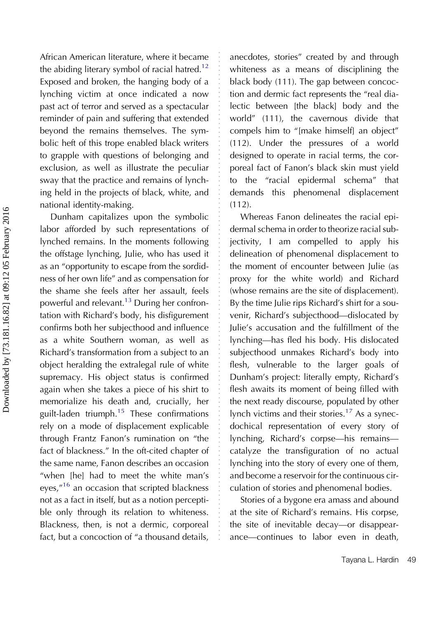African American literature, where it became the abiding literary symbol of racial hatred.<sup>12</sup> Exposed and broken, the hanging body of a lynching victim at once indicated a now past act of terror and served as a spectacular reminder of pain and suffering that extended beyond the remains themselves. The symbolic heft of this trope enabled black writers to grapple with questions of belonging and exclusion, as well as illustrate the peculiar sway that the practice and remains of lynching held in the projects of black, white, and national identity-making.

Dunham capitalizes upon the symbolic labor afforded by such representations of lynched remains. In the moments following the offstage lynching, Julie, who has used it as an "opportunity to escape from the sordidness of her own life" and as compensation for the shame she feels after her assault, feels powerful and relevant.<sup>[13](#page-8-0)</sup> During her confrontation with Richard's body, his disfigurement confirms both her subjecthood and influence as a white Southern woman, as well as Richard's transformation from a subject to an object heralding the extralegal rule of white supremacy. His object status is confirmed again when she takes a piece of his shirt to memorialize his death and, crucially, her guilt-laden triumph.<sup>15</sup> These confirmations rely on a mode of displacement explicable through Frantz Fanon's rumination on "the fact of blackness." In the oft-cited chapter of the same name, Fanon describes an occasion "when [he] had to meet the white man's eyes,"<sup>[16](#page-8-0)</sup> an occasion that scripted blackness not as a fact in itself, but as a notion perceptible only through its relation to whiteness. Blackness, then, is not a dermic, corporeal fact, but a concoction of "a thousand details,

anecdotes, stories" created by and through whiteness as a means of disciplining the black body (111). The gap between concoction and dermic fact represents the "real dialectic between [the black] body and the world" (111), the cavernous divide that compels him to "[make himself] an object" (112). Under the pressures of a world designed to operate in racial terms, the corporeal fact of Fanon's black skin must yield to the "racial epidermal schema" that demands this phenomenal displacement  $(112)$ .

Whereas Fanon delineates the racial epidermal schema in order to theorize racial subjectivity, I am compelled to apply his delineation of phenomenal displacement to the moment of encounter between Julie (as proxy for the white world) and Richard (whose remains are the site of displacement). By the time Julie rips Richard's shirt for a souvenir, Richard's subjecthood—dislocated by Julie's accusation and the fulfillment of the lynching—has fled his body. His dislocated subjecthood unmakes Richard's body into flesh, vulnerable to the larger goals of Dunham's project: literally empty, Richard's flesh awaits its moment of being filled with the next ready discourse, populated by other lynch victims and their stories.<sup>[17](#page-8-0)</sup> As a synecdochical representation of every story of lynching, Richard's corpse—his remains catalyze the transfiguration of no actual lynching into the story of every one of them, and become a reservoir for the continuous circulation of stories and phenomenal bodies.

Stories of a bygone era amass and abound at the site of Richard's remains. His corpse, the site of inevitable decay—or disappearance—continues to labor even in death,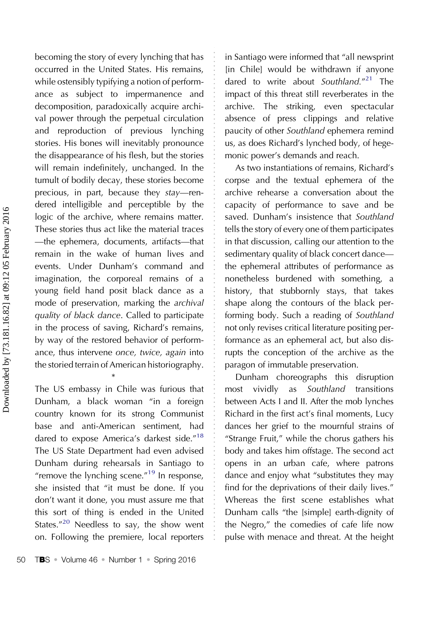becoming the story of every lynching that has occurred in the United States. His remains, while ostensibly typifying a notion of performance as subject to impermanence and decomposition, paradoxically acquire archival power through the perpetual circulation and reproduction of previous lynching stories. His bones will inevitably pronounce the disappearance of his flesh, but the stories will remain indefinitely, unchanged. In the tumult of bodily decay, these stories become precious, in part, because they stay—rendered intelligible and perceptible by the logic of the archive, where remains matter. These stories thus act like the material traces —the ephemera, documents, artifacts—that remain in the wake of human lives and events. Under Dunham's command and imagination, the corporeal remains of a young field hand posit black dance as a mode of preservation, marking the archival quality of black dance. Called to participate in the process of saving, Richard's remains, by way of the restored behavior of performance, thus intervene once, twice, again into the storied terrain of American historiography.

The US embassy in Chile was furious that Dunham, a black woman "in a foreign country known for its strong Communist base and anti-American sentiment, had dared to expose America's darkest side."<sup>[18](#page-8-0)</sup> The US State Department had even advised Dunham during rehearsals in Santiago to "remove the lynching scene."<sup>[19](#page-8-0)</sup> In response, she insisted that "it must be done. If you don't want it done, you must assure me that this sort of thing is ended in the United States."<sup>[20](#page-8-0)</sup> Needless to say, the show went on. Following the premiere, local reporters

\*

50 TBS • Volume 46 • Number 1 • Spring 2016

in Santiago were informed that "all newsprint [in Chile] would be withdrawn if anyone dared to write about Southland."<sup>[21](#page-8-0)</sup> The impact of this threat still reverberates in the archive. The striking, even spectacular absence of press clippings and relative paucity of other Southland ephemera remind us, as does Richard's lynched body, of hegemonic power's demands and reach.

As two instantiations of remains, Richard's corpse and the textual ephemera of the archive rehearse a conversation about the capacity of performance to save and be saved. Dunham's insistence that Southland tells the story of every one of them participates in that discussion, calling our attention to the sedimentary quality of black concert dance the ephemeral attributes of performance as nonetheless burdened with something, a history, that stubbornly stays, that takes shape along the contours of the black performing body. Such a reading of Southland not only revises critical literature positing performance as an ephemeral act, but also disrupts the conception of the archive as the paragon of immutable preservation.

Dunham choreographs this disruption most vividly as Southland transitions between Acts I and II. After the mob lynches Richard in the first act's final moments, Lucy dances her grief to the mournful strains of "Strange Fruit," while the chorus gathers his body and takes him offstage. The second act opens in an urban cafe, where patrons dance and enjoy what "substitutes they may find for the deprivations of their daily lives." Whereas the first scene establishes what Dunham calls "the [simple] earth-dignity of the Negro," the comedies of cafe life now pulse with menace and threat. At the height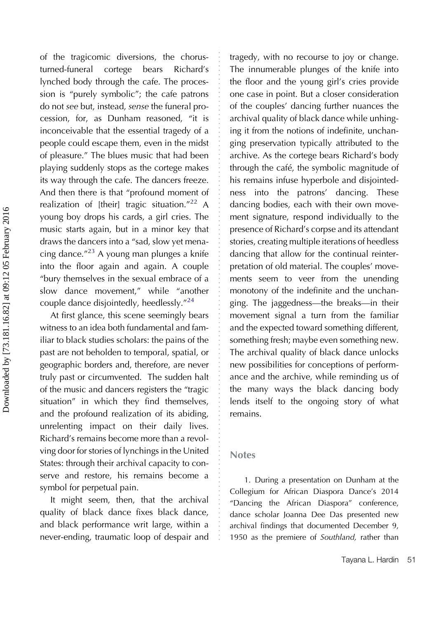<span id="page-6-0"></span>of the tragicomic diversions, the chorusturned-funeral cortege bears Richard's lynched body through the cafe. The procession is "purely symbolic"; the cafe patrons do not see but, instead, sense the funeral procession, for, as Dunham reasoned, "it is inconceivable that the essential tragedy of a people could escape them, even in the midst of pleasure." The blues music that had been playing suddenly stops as the cortege makes its way through the cafe. The dancers freeze. And then there is that "profound moment of realization of [their] tragic situation."<sup>[22](#page-8-0)</sup> A young boy drops his cards, a girl cries. The music starts again, but in a minor key that draws the dancers into a "sad, slow yet menacing dance." [23](#page-8-0) A young man plunges a knife into the floor again and again. A couple "bury themselves in the sexual embrace of a slow dance movement," while "another couple dance disjointedly, heedlessly."<sup>[24](#page-8-0)</sup>

At first glance, this scene seemingly bears witness to an idea both fundamental and familiar to black studies scholars: the pains of the past are not beholden to temporal, spatial, or geographic borders and, therefore, are never truly past or circumvented. The sudden halt of the music and dancers registers the "tragic situation" in which they find themselves, and the profound realization of its abiding, unrelenting impact on their daily lives. Richard's remains become more than a revolving door for stories of lynchings in the United States: through their archival capacity to conserve and restore, his remains become a symbol for perpetual pain.

It might seem, then, that the archival quality of black dance fixes black dance, and black performance writ large, within a never-ending, traumatic loop of despair and

tragedy, with no recourse to joy or change. The innumerable plunges of the knife into the floor and the young girl's cries provide one case in point. But a closer consideration of the couples' dancing further nuances the archival quality of black dance while unhinging it from the notions of indefinite, unchanging preservation typically attributed to the archive. As the cortege bears Richard's body through the café, the symbolic magnitude of his remains infuse hyperbole and disjointedness into the patrons' dancing. These dancing bodies, each with their own movement signature, respond individually to the presence of Richard's corpse and its attendant stories, creating multiple iterations of heedless dancing that allow for the continual reinterpretation of old material. The couples' movements seem to veer from the unending monotony of the indefinite and the unchanging. The jaggedness—the breaks—in their movement signal a turn from the familiar and the expected toward something different, something fresh; maybe even something new. The archival quality of black dance unlocks new possibilities for conceptions of performance and the archive, while reminding us of the many ways the black dancing body lends itself to the ongoing story of what remains.

## Notes

1. During a presentation on Dunham at the Collegium for African Diaspora Dance's 2014 "Dancing the African Diaspora" conference, dance scholar Joanna Dee Das presented new archival findings that documented December 9, 1950 as the premiere of Southland, rather than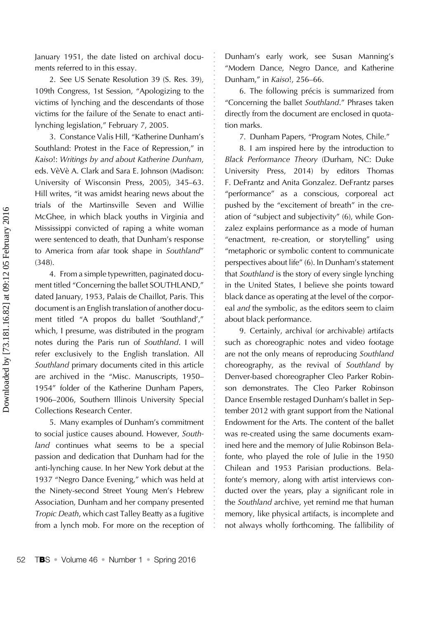<span id="page-7-0"></span>January 1951, the date listed on archival documents referred to in this essay.

2. See US Senate Resolution 39 (S. Res. 39), 109th Congress, 1st Session, "Apologizing to the victims of lynching and the descendants of those victims for the failure of the Senate to enact antilynching legislation," February 7, 2005.

3. Constance Valis Hill, "Katherine Dunham's Southland: Protest in the Face of Repression," in Kaiso!: Writings by and about Katherine Dunham, eds. VèVè A. Clark and Sara E. Johnson (Madison: University of Wisconsin Press, 2005), 345–63. Hill writes, "it was amidst hearing news about the trials of the Martinsville Seven and Willie McGhee, in which black youths in Virginia and Mississippi convicted of raping a white woman were sentenced to death, that Dunham's response to America from afar took shape in Southland" (348).

4. From a simple typewritten, paginated document titled "Concerning the ballet SOUTHLAND," dated January, 1953, Palais de Chaillot, Paris. This document is an English translation of another document titled "A propos du ballet 'Southland'," which, I presume, was distributed in the program notes during the Paris run of Southland. I will refer exclusively to the English translation. All Southland primary documents cited in this article are archived in the "Misc. Manuscripts, 1950– 1954" folder of the Katherine Dunham Papers, 1906–2006, Southern Illinois University Special Collections Research Center.

5. Many examples of Dunham's commitment to social justice causes abound. However, Southland continues what seems to be a special passion and dedication that Dunham had for the anti-lynching cause. In her New York debut at the 1937 "Negro Dance Evening," which was held at the Ninety-second Street Young Men's Hebrew Association, Dunham and her company presented Tropic Death, which cast Talley Beatty as a fugitive from a lynch mob. For more on the reception of

Dunham's early work, see Susan Manning's "Modern Dance, Negro Dance, and Katherine Dunham," in Kaiso!, 256–66.

6. The following précis is summarized from "Concerning the ballet Southland." Phrases taken directly from the document are enclosed in quotation marks.

7. Dunham Papers, "Program Notes, Chile."

8. I am inspired here by the introduction to Black Performance Theory (Durham, NC: Duke University Press, 2014) by editors Thomas F. DeFrantz and Anita Gonzalez. DeFrantz parses "performance" as a conscious, corporeal act pushed by the "excitement of breath" in the creation of "subject and subjectivity" (6), while Gonzalez explains performance as a mode of human "enactment, re-creation, or storytelling" using "metaphoric or symbolic content to communicate perspectives about life" (6). In Dunham's statement that Southland is the story of every single lynching in the United States, I believe she points toward black dance as operating at the level of the corporeal and the symbolic, as the editors seem to claim about black performance.

9. Certainly, archival (or archivable) artifacts such as choreographic notes and video footage are not the only means of reproducing Southland choreography, as the revival of Southland by Denver-based choreographer Cleo Parker Robinson demonstrates. The Cleo Parker Robinson Dance Ensemble restaged Dunham's ballet in September 2012 with grant support from the National Endowment for the Arts. The content of the ballet was re-created using the same documents examined here and the memory of Julie Robinson Belafonte, who played the role of Julie in the 1950 Chilean and 1953 Parisian productions. Belafonte's memory, along with artist interviews conducted over the years, play a significant role in the Southland archive, yet remind me that human memory, like physical artifacts, is incomplete and not always wholly forthcoming. The fallibility of